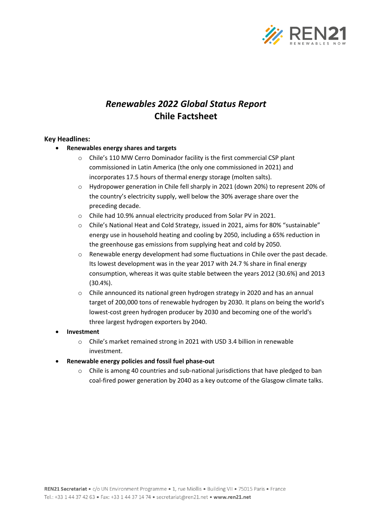

# *Renewables 2022 Global Status Report* **Chile Factsheet**

### **Key Headlines:**

- **Renewables energy shares and targets**
	- o Chile's 110 MW Cerro Dominador facility is the first commercial CSP plant commissioned in Latin America (the only one commissioned in 2021) and incorporates 17.5 hours of thermal energy storage (molten salts).
	- o Hydropower generation in Chile fell sharply in 2021 (down 20%) to represent 20% of the country's electricity supply, well below the 30% average share over the preceding decade.
	- o Chile had 10.9% annual electricity produced from Solar PV in 2021.
	- $\circ$  Chile's National Heat and Cold Strategy, issued in 2021, aims for 80% "sustainable" energy use in household heating and cooling by 2050, including a 65% reduction in the greenhouse gas emissions from supplying heat and cold by 2050.
	- o Renewable energy development had some fluctuations in Chile over the past decade. Its lowest development was in the year 2017 with 24.7 % share in final energy consumption, whereas it was quite stable between the years 2012 (30.6%) and 2013 (30.4%).
	- o Chile announced its national green hydrogen strategy in 2020 and has an annual target of 200,000 tons of renewable hydrogen by 2030. It plans on being the world's lowest-cost green hydrogen producer by 2030 and becoming one of the world's three largest hydrogen exporters by 2040.
- **Investment**
	- o Chile's market remained strong in 2021 with USD 3.4 billion in renewable investment.
- **Renewable energy policies and fossil fuel phase-out**
	- $\circ$  Chile is among 40 countries and sub-national jurisdictions that have pledged to ban coal-fired power generation by 2040 as a key outcome of the Glasgow climate talks.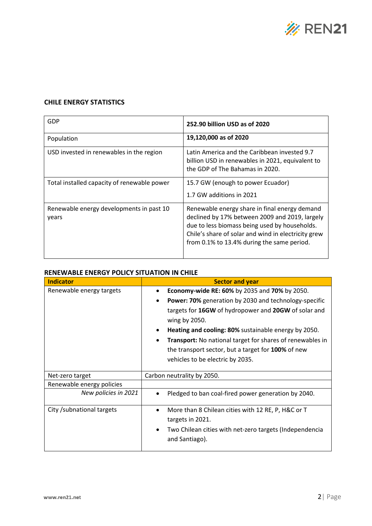

### **CHILE ENERGY STATISTICS**

| GDP                                               | 252.90 billion USD as of 2020                                                                                                                                                                                                                         |  |
|---------------------------------------------------|-------------------------------------------------------------------------------------------------------------------------------------------------------------------------------------------------------------------------------------------------------|--|
| Population                                        | 19,120,000 as of 2020                                                                                                                                                                                                                                 |  |
| USD invested in renewables in the region          | Latin America and the Caribbean invested 9.7<br>billion USD in renewables in 2021, equivalent to<br>the GDP of The Bahamas in 2020.                                                                                                                   |  |
| Total installed capacity of renewable power       | 15.7 GW (enough to power Ecuador)<br>1.7 GW additions in 2021                                                                                                                                                                                         |  |
| Renewable energy developments in past 10<br>years | Renewable energy share in final energy demand<br>declined by 17% between 2009 and 2019, largely<br>due to less biomass being used by households.<br>Chile's share of solar and wind in electricity grew<br>from 0.1% to 13.4% during the same period. |  |

### **RENEWABLE ENERGY POLICY SITUATION IN CHILE**

| <b>Indicator</b>           | <b>Sector and year</b>                                             |  |
|----------------------------|--------------------------------------------------------------------|--|
| Renewable energy targets   | Economy-wide RE: 60% by 2035 and 70% by 2050.                      |  |
|                            | Power: 70% generation by 2030 and technology-specific<br>$\bullet$ |  |
|                            | targets for 16GW of hydropower and 20GW of solar and               |  |
|                            | wing by 2050.                                                      |  |
|                            | Heating and cooling: 80% sustainable energy by 2050.<br>$\bullet$  |  |
|                            | <b>Transport:</b> No national target for shares of renewables in   |  |
|                            | the transport sector, but a target for 100% of new                 |  |
|                            | vehicles to be electric by 2035.                                   |  |
|                            |                                                                    |  |
| Net-zero target            | Carbon neutrality by 2050.                                         |  |
| Renewable energy policies  |                                                                    |  |
| New policies in 2021       | Pledged to ban coal-fired power generation by 2040.<br>$\bullet$   |  |
| City / subnational targets | More than 8 Chilean cities with 12 RE, P, H&C or T                 |  |
|                            | targets in 2021.                                                   |  |
|                            | Two Chilean cities with net-zero targets (Independencia            |  |
|                            | and Santiago).                                                     |  |
|                            |                                                                    |  |